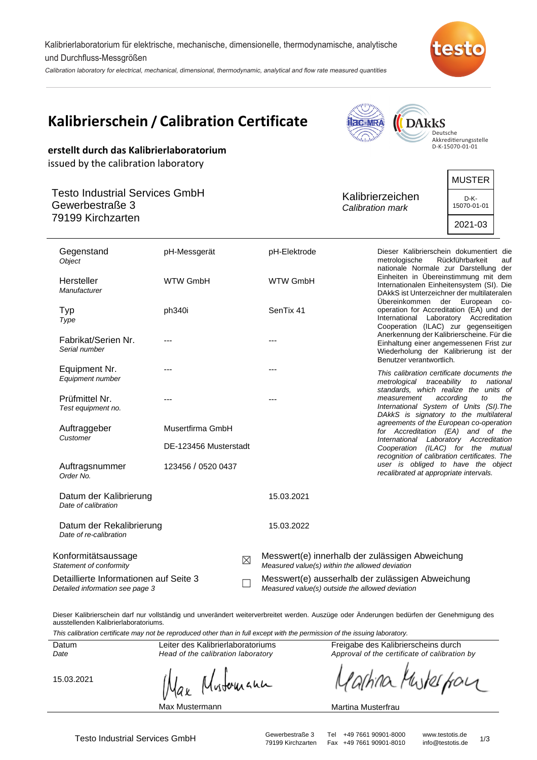Kalibrierlaboratorium für elektrische, mechanische, dimensionelle, thermodynamische, analytische und Durchfluss-Messgrößen

Calibration laboratory for electrical, mechanical, dimensional, thermodynamic, analytical and flow rate measured quantities



| Kalibrierschein / Calibration Certificate<br><b>DAkkS</b><br><b>ac-MRA</b><br>Deutsche<br>Akkreditierungsstelle<br>D-K-15070-01-01<br>erstellt durch das Kalibrierlaboratorium<br>issued by the calibration laboratory |                                           |             |                                                                                                     |                                                                                                   |                                                                                                                                                                                                                                                                                                                                                                                                                       |                                                                                                                                                             |  |  |
|------------------------------------------------------------------------------------------------------------------------------------------------------------------------------------------------------------------------|-------------------------------------------|-------------|-----------------------------------------------------------------------------------------------------|---------------------------------------------------------------------------------------------------|-----------------------------------------------------------------------------------------------------------------------------------------------------------------------------------------------------------------------------------------------------------------------------------------------------------------------------------------------------------------------------------------------------------------------|-------------------------------------------------------------------------------------------------------------------------------------------------------------|--|--|
| <b>Testo Industrial Services GmbH</b><br>Gewerbestraße 3<br>79199 Kirchzarten                                                                                                                                          |                                           |             |                                                                                                     |                                                                                                   | Kalibrierzeichen<br>Calibration mark                                                                                                                                                                                                                                                                                                                                                                                  | <b>MUSTER</b><br>D-K-<br>15070-01-01<br>2021-03                                                                                                             |  |  |
| Gegenstand<br>Object<br>Hersteller<br>Manufacturer                                                                                                                                                                     | pH-Messgerät<br><b>WTW GmbH</b>           |             | pH-Elektrode<br><b>WTW GmbH</b>                                                                     |                                                                                                   | Dieser Kalibrierschein dokumentiert die<br>metrologische<br>nationale Normale zur Darstellung der<br>Einheiten in Übereinstimmung mit dem<br>Internationalen Einheitensystem (SI). Die                                                                                                                                                                                                                                | Rückführbarkeit<br>auf                                                                                                                                      |  |  |
| Typ<br>Type<br>Fabrikat/Serien Nr.                                                                                                                                                                                     | ph340i                                    |             | SenTix 41                                                                                           |                                                                                                   | DAkkS ist Unterzeichner der multilateralen<br>Übereinkommen der European co-<br>operation for Accreditation (EA) und der<br>International Laboratory Accreditation<br>Cooperation (ILAC) zur gegenseitigen<br>Anerkennung der Kalibrierscheine. Für die<br>Einhaltung einer angemessenen Frist zur<br>Wiederholung der Kalibrierung ist der<br>Benutzer verantwortlich.<br>This calibration certificate documents the |                                                                                                                                                             |  |  |
| Serial number<br>Equipment Nr.                                                                                                                                                                                         |                                           |             |                                                                                                     |                                                                                                   |                                                                                                                                                                                                                                                                                                                                                                                                                       |                                                                                                                                                             |  |  |
| Equipment number<br>Prüfmittel Nr.<br>Test equipment no.                                                                                                                                                               |                                           |             |                                                                                                     |                                                                                                   | measurement<br>International System of Units (SI). The<br>DAkkS is signatory to the multilateral                                                                                                                                                                                                                                                                                                                      | metrological traceability to national<br>standards, which realize the units of<br>according<br>to<br>the                                                    |  |  |
| Auftraggeber<br>Customer                                                                                                                                                                                               | Musertfirma GmbH<br>DE-123456 Musterstadt |             |                                                                                                     |                                                                                                   | recognition of calibration certificates. The                                                                                                                                                                                                                                                                                                                                                                          | agreements of the European co-operation<br>for Accreditation (EA) and of the<br>International Laboratory Accreditation<br>Cooperation (ILAC) for the mutual |  |  |
| Auftragsnummer<br>Order No.                                                                                                                                                                                            | 123456 / 0520 0437                        |             |                                                                                                     |                                                                                                   | recalibrated at appropriate intervals.                                                                                                                                                                                                                                                                                                                                                                                | user is obliged to have the object                                                                                                                          |  |  |
| Datum der Kalibrierung<br>Date of calibration                                                                                                                                                                          |                                           |             | 15.03.2021                                                                                          |                                                                                                   |                                                                                                                                                                                                                                                                                                                                                                                                                       |                                                                                                                                                             |  |  |
| Datum der Rekalibrierung<br>Date of re-calibration                                                                                                                                                                     |                                           |             | 15.03.2022                                                                                          |                                                                                                   |                                                                                                                                                                                                                                                                                                                                                                                                                       |                                                                                                                                                             |  |  |
| Konformitätsaussage<br>Statement of conformity                                                                                                                                                                         |                                           | $\boxtimes$ |                                                                                                     | Messwert(e) innerhalb der zulässigen Abweichung<br>Measured value(s) within the allowed deviation |                                                                                                                                                                                                                                                                                                                                                                                                                       |                                                                                                                                                             |  |  |
| Detaillierte Informationen auf Seite 3<br>Detailed information see page 3                                                                                                                                              |                                           |             | Messwert(e) ausserhalb der zulässigen Abweichung<br>Measured value(s) outside the allowed deviation |                                                                                                   |                                                                                                                                                                                                                                                                                                                                                                                                                       |                                                                                                                                                             |  |  |

Dieser Kalibrierschein darf nur vollständig und unverändert weiterverbreitet werden. Auszüge oder Änderungen bedürfen der Genehmigung des ausstellenden Kalibrierlaboratoriums.

This calibration certificate may not be reproduced other than in full except with the permission of the issuing laboratory.

|            | <u>THIS CAINDIANOTI CENTINALE THAY TIOL DE FEDIOUQUE OUTER MAIT IN TUIL EXCEDITION INTITIOSION OF ME ISSUING</u> |               |
|------------|------------------------------------------------------------------------------------------------------------------|---------------|
| Datum      | Leiter des Kalibrierlaboratoriums                                                                                | Freigabe de   |
| Date       | Head of the calibration laboratory                                                                               | Approval of t |
| 15.03.2021 | Max Mustomann                                                                                                    | Yarhi         |

Max Mustermann

s Kalibrierscheins durch the certificate of calibration by

Kuskerporn na

### Martina Musterfrau

Fax +49 7661 90901-8010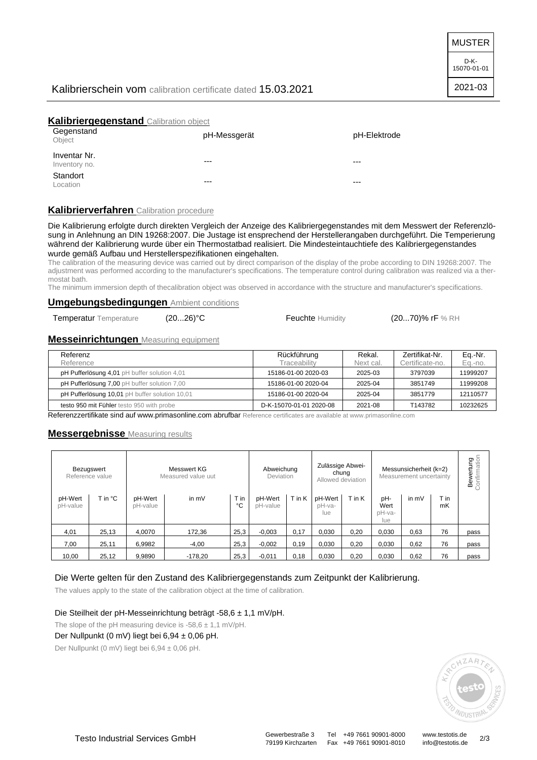MUSTER

D-K-15070-01-01

2021-03

# Kalibrierschein vom calibration certificate dated 15.03.2021

## **Kalibriergegenstand** Calibration object

| -- --<br>Gegenstand<br>Object | pH-Messgerät | pH-Elektrode |
|-------------------------------|--------------|--------------|
| Inventar Nr.<br>Inventory no. | $---$        | ---          |
| Standort<br>Location          | $---$        | ---          |

## **Kalibrierverfahren** Calibration procedure

Die Kalibrierung erfolgte durch direkten Vergleich der Anzeige des Kalibriergegenstandes mit dem Messwert der Referenzlösung in Anlehnung an DIN 19268:2007. Die Justage ist ensprechend der Herstellerangaben durchgeführt. Die Temperierung während der Kalibrierung wurde über ein Thermostatbad realisiert. Die Mindesteintauchtiefe des Kalibriergegenstandes wurde gemäß Aufbau und Herstellerspezifikationen eingehalten.

The calibration of the measuring device was carried out by direct comparison of the display of the probe according to DIN 19268:2007. The adjustment was performed according to the manufacturer's specifications. The temperature control during calibration was realized via a thermostat bath.

The minimum immersion depth of thecalibration object was observed in accordance with the structure and manufacturer's specifications.

### **Umgebungsbedingungen** Ambient conditions

Temperatur Temperature (20...26)°C Feuchte Humidity (20...70)% rF % RH

### **Messeinrichtungen** Measuring equipment

| Referenz<br>Reference                          | Rückführung<br>Traceability | Rekal.<br>Next cal. | Zertifikat-Nr.<br>Certificate-no. | Eq.-Nr.<br>Eq.-no. |
|------------------------------------------------|-----------------------------|---------------------|-----------------------------------|--------------------|
| pH Pufferlösung 4,01 pH buffer solution 4,01   | 15186-01-00 2020-03         | 2025-03             | 3797039                           | 11999207           |
| pH Pufferlösung 7,00 pH buffer solution 7,00   | 15186-01-00 2020-04         | 2025-04             | 3851749                           | 11999208           |
| pH Pufferlösung 10.01 pH buffer solution 10.01 | 15186-01-00 2020-04         | 2025-04             | 3851779                           | 12110577           |
| testo 950 mit Fühler testo 950 with probe      | D-K-15070-01-01 2020-08     | 2021-08             | T143782                           | 10232625           |

Referenzzertifikate sind auf www.primasonline.com abrufbar Reference certificates are available at www.primasonline.com

### **Messergebnisse** Measuring results

|                     | Bezugswert<br>Reference value |                     | Messwert KG<br>Measured value uut |            | Abweichung<br>Deviation |        | Zulässige Abwei-<br>chung<br>Allowed deviation |        | Messunsicherheit (k=2)<br>Measurement uncertainty |         | <b>Bewertung</b><br>Confirmation |      |
|---------------------|-------------------------------|---------------------|-----------------------------------|------------|-------------------------|--------|------------------------------------------------|--------|---------------------------------------------------|---------|----------------------------------|------|
| pH-Wert<br>pH-value | T in °C                       | pH-Wert<br>pH-value | in mV                             | T in<br>°C | pH-Wert<br>pH-value     | T in K | pH-Wert<br>pH-va-<br>lue                       | T in K | pH-<br>Wert<br>pH-va-<br>lue                      | in $mV$ | T in<br>mK                       |      |
| 4,01                | 25,13                         | 4.0070              | 172,36                            | 25,3       | $-0,003$                | 0,17   | 0,030                                          | 0,20   | 0,030                                             | 0,63    | 76                               | pass |
| 7,00                | 25,11                         | 6,9982              | $-4,00$                           | 25,3       | $-0,002$                | 0,19   | 0,030                                          | 0,20   | 0,030                                             | 0,62    | 76                               | pass |
| 10,00               | 25,12                         | 9.9890              | $-178.20$                         | 25,3       | $-0,011$                | 0,18   | 0.030                                          | 0,20   | 0,030                                             | 0,62    | 76                               | pass |

### Die Werte gelten für den Zustand des Kalibriergegenstands zum Zeitpunkt der Kalibrierung.

The values apply to the state of the calibration object at the time of calibration.

### Die Steilheit der pH-Messeinrichtung beträgt -58,6 ± 1,1 mV/pH.

The slope of the pH measuring device is  $-58,6 \pm 1,1$  mV/pH.

## Der Nullpunkt (0 mV) liegt bei 6,94 ± 0,06 pH.

Der Nullpunkt (0 mV) liegt bei 6,94 ± 0,06 pH.